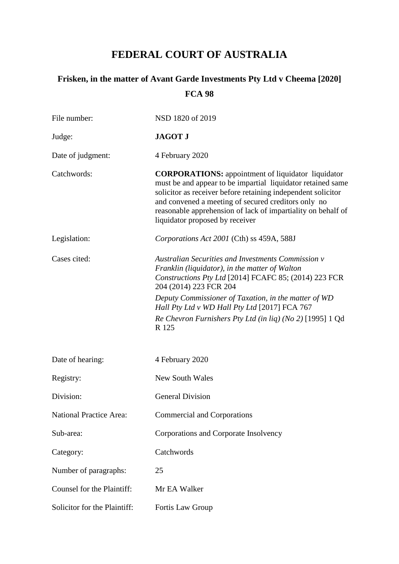## **FEDERAL COURT OF AUSTRALIA**

# **Frisken, in the matter of Avant Garde Investments Pty Ltd v Cheema [2020] FCA 98**

| File number:                 | NSD 1820 of 2019                                                                                                                                                                                                                                                                                                                                                       |
|------------------------------|------------------------------------------------------------------------------------------------------------------------------------------------------------------------------------------------------------------------------------------------------------------------------------------------------------------------------------------------------------------------|
| Judge:                       | <b>JAGOT J</b>                                                                                                                                                                                                                                                                                                                                                         |
| Date of judgment:            | 4 February 2020                                                                                                                                                                                                                                                                                                                                                        |
| Catchwords:                  | <b>CORPORATIONS:</b> appointment of liquidator liquidator<br>must be and appear to be impartial liquidator retained same<br>solicitor as receiver before retaining independent solicitor<br>and convened a meeting of secured creditors only no<br>reasonable apprehension of lack of impartiality on behalf of<br>liquidator proposed by receiver                     |
| Legislation:                 | Corporations Act 2001 (Cth) ss 459A, 588J                                                                                                                                                                                                                                                                                                                              |
| Cases cited:                 | Australian Securities and Investments Commission v<br>Franklin (liquidator), in the matter of Walton<br>Constructions Pty Ltd [2014] FCAFC 85; (2014) 223 FCR<br>204 (2014) 223 FCR 204<br>Deputy Commissioner of Taxation, in the matter of WD<br>Hall Pty Ltd v WD Hall Pty Ltd [2017] FCA 767<br>Re Chevron Furnishers Pty Ltd (in liq) (No 2) [1995] 1 Qd<br>R 125 |
| Date of hearing:             | 4 February 2020                                                                                                                                                                                                                                                                                                                                                        |
| Registry:                    | <b>New South Wales</b>                                                                                                                                                                                                                                                                                                                                                 |
| Division:                    | <b>General Division</b>                                                                                                                                                                                                                                                                                                                                                |
| National Practice Area:      | <b>Commercial and Corporations</b>                                                                                                                                                                                                                                                                                                                                     |
| Sub-area:                    | Corporations and Corporate Insolvency                                                                                                                                                                                                                                                                                                                                  |
| Category:                    | Catchwords                                                                                                                                                                                                                                                                                                                                                             |
| Number of paragraphs:        | 25                                                                                                                                                                                                                                                                                                                                                                     |
| Counsel for the Plaintiff:   | Mr EA Walker                                                                                                                                                                                                                                                                                                                                                           |
| Solicitor for the Plaintiff: | Fortis Law Group                                                                                                                                                                                                                                                                                                                                                       |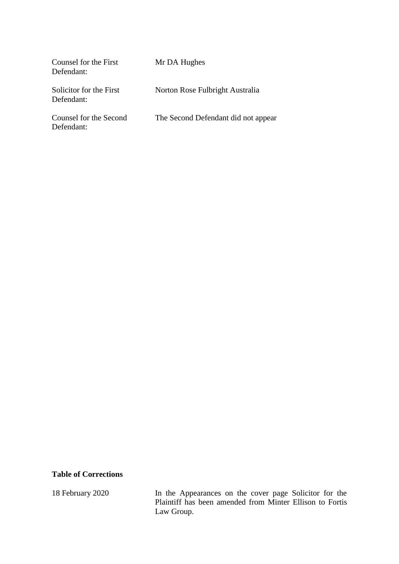| Counsel for the First<br>Defendant:   | Mr DA Hughes                        |
|---------------------------------------|-------------------------------------|
| Solicitor for the First<br>Defendant: | Norton Rose Fulbright Australia     |
| Counsel for the Second<br>Defendant:  | The Second Defendant did not appear |

#### **Table of Corrections**

18 February 2020 In the Appearances on the cover page Solicitor for the Plaintiff has been amended from Minter Ellison to Fortis Law Group.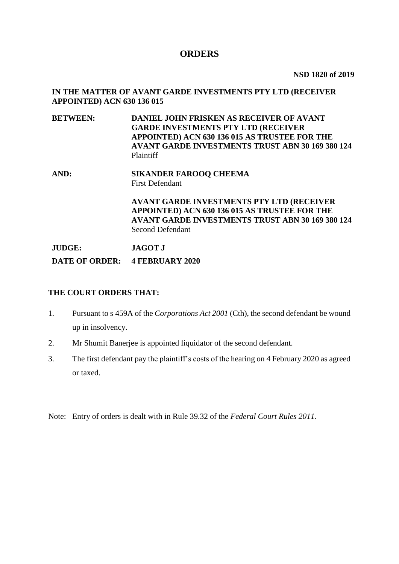### **ORDERS**

**NSD 1820 of 2019**

#### **IN THE MATTER OF AVANT GARDE INVESTMENTS PTY LTD (RECEIVER APPOINTED) ACN 630 136 015**

- **BETWEEN: DANIEL JOHN FRISKEN AS RECEIVER OF AVANT GARDE INVESTMENTS PTY LTD (RECEIVER APPOINTED) ACN 630 136 015 AS TRUSTEE FOR THE AVANT GARDE INVESTMENTS TRUST ABN 30 169 380 124** Plaintiff
- **AND: SIKANDER FAROOQ CHEEMA** First Defendant

**AVANT GARDE INVESTMENTS PTY LTD (RECEIVER APPOINTED) ACN 630 136 015 AS TRUSTEE FOR THE AVANT GARDE INVESTMENTS TRUST ABN 30 169 380 124** Second Defendant

**JUDGE: JAGOT J DATE OF ORDER: 4 FEBRUARY 2020**

#### **THE COURT ORDERS THAT:**

- 1. Pursuant to s 459A of the *Corporations Act 2001* (Cth), the second defendant be wound up in insolvency.
- 2. Mr Shumit Banerjee is appointed liquidator of the second defendant.
- 3. The first defendant pay the plaintiff's costs of the hearing on 4 February 2020 as agreed or taxed.

Note: Entry of orders is dealt with in Rule 39.32 of the *Federal Court Rules 2011*.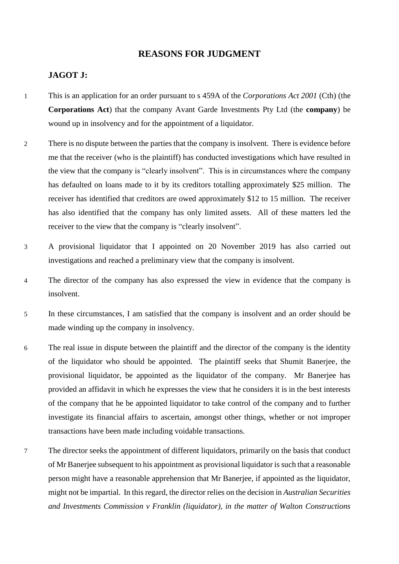#### **REASONS FOR JUDGMENT**

#### **JAGOT J:**

- 1 This is an application for an order pursuant to s 459A of the *Corporations Act 2001* (Cth) (the **Corporations Act**) that the company Avant Garde Investments Pty Ltd (the **company**) be wound up in insolvency and for the appointment of a liquidator.
- 2 There is no dispute between the parties that the company is insolvent. There is evidence before me that the receiver (who is the plaintiff) has conducted investigations which have resulted in the view that the company is "clearly insolvent". This is in circumstances where the company has defaulted on loans made to it by its creditors totalling approximately \$25 million. The receiver has identified that creditors are owed approximately \$12 to 15 million. The receiver has also identified that the company has only limited assets. All of these matters led the receiver to the view that the company is "clearly insolvent".
- 3 A provisional liquidator that I appointed on 20 November 2019 has also carried out investigations and reached a preliminary view that the company is insolvent.
- 4 The director of the company has also expressed the view in evidence that the company is insolvent.
- 5 In these circumstances, I am satisfied that the company is insolvent and an order should be made winding up the company in insolvency.
- 6 The real issue in dispute between the plaintiff and the director of the company is the identity of the liquidator who should be appointed. The plaintiff seeks that Shumit Banerjee, the provisional liquidator, be appointed as the liquidator of the company. Mr Banerjee has provided an affidavit in which he expresses the view that he considers it is in the best interests of the company that he be appointed liquidator to take control of the company and to further investigate its financial affairs to ascertain, amongst other things, whether or not improper transactions have been made including voidable transactions.
- 7 The director seeks the appointment of different liquidators, primarily on the basis that conduct of Mr Banerjee subsequent to his appointment as provisional liquidator is such that a reasonable person might have a reasonable apprehension that Mr Banerjee, if appointed as the liquidator, might not be impartial. In this regard, the director relies on the decision in *Australian Securities and Investments Commission v Franklin (liquidator), in the matter of Walton Constructions*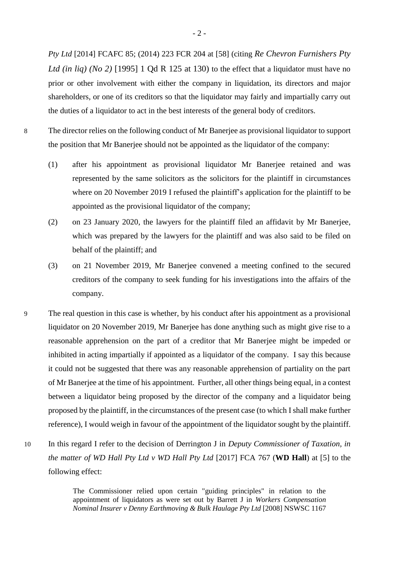*Pty Ltd* [2014] FCAFC 85; (2014) 223 FCR 204 at [58] (citing *[Re Chevron Furnishers Pty](https://jade.io/citation/1432059)  Ltd (in liq) (No 2)* [1995] 1 Qd R 125 at 130) to the effect that a liquidator must have no prior or other involvement with either the company in liquidation, its directors and major shareholders, or one of its creditors so that the liquidator may fairly and impartially carry out the duties of a liquidator to act in the best interests of the general body of creditors.

- 8 The director relies on the following conduct of Mr Banerjee as provisional liquidator to support the position that Mr Banerjee should not be appointed as the liquidator of the company:
	- (1) after his appointment as provisional liquidator Mr Banerjee retained and was represented by the same solicitors as the solicitors for the plaintiff in circumstances where on 20 November 2019 I refused the plaintiff's application for the plaintiff to be appointed as the provisional liquidator of the company;
	- (2) on 23 January 2020, the lawyers for the plaintiff filed an affidavit by Mr Banerjee, which was prepared by the lawyers for the plaintiff and was also said to be filed on behalf of the plaintiff; and
	- (3) on 21 November 2019, Mr Banerjee convened a meeting confined to the secured creditors of the company to seek funding for his investigations into the affairs of the company.
- 9 The real question in this case is whether, by his conduct after his appointment as a provisional liquidator on 20 November 2019, Mr Banerjee has done anything such as might give rise to a reasonable apprehension on the part of a creditor that Mr Banerjee might be impeded or inhibited in acting impartially if appointed as a liquidator of the company. I say this because it could not be suggested that there was any reasonable apprehension of partiality on the part of Mr Banerjee at the time of his appointment. Further, all other things being equal, in a contest between a liquidator being proposed by the director of the company and a liquidator being proposed by the plaintiff, in the circumstances of the present case (to which I shall make further reference), I would weigh in favour of the appointment of the liquidator sought by the plaintiff.
- 10 In this regard I refer to the decision of Derrington J in *Deputy Commissioner of Taxation, in the matter of WD Hall Pty Ltd v WD Hall Pty Ltd* [2017] FCA 767 (**WD Hall**) at [5] to the following effect:

The Commissioner relied upon certain "guiding principles" in relation to the appointment of liquidators as were set out by Barrett J in *Workers Compensation Nominal Insurer v Denny Earthmoving & Bulk Haulage Pty Ltd* [2008] NSWSC 1167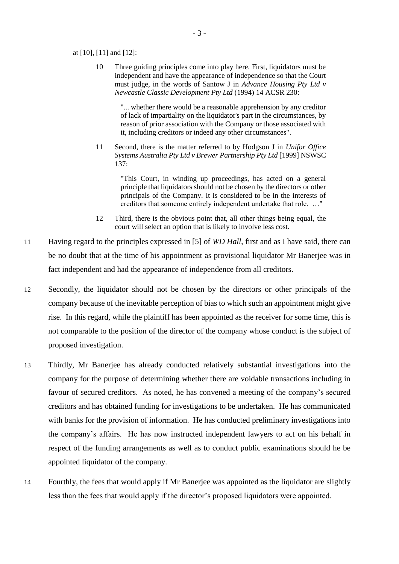#### at [10], [11] and [12]:

10 Three guiding principles come into play here. First, liquidators must be independent and have the appearance of independence so that the Court must judge, in the words of Santow J in *Advance Housing Pty Ltd v Newcastle Classic Development Pty Ltd* (1994) 14 ACSR 230:

> "... whether there would be a reasonable apprehension by any creditor of lack of impartiality on the liquidator's part in the circumstances, by reason of prior association with the Company or those associated with it, including creditors or indeed any other circumstances".

11 Second, there is the matter referred to by Hodgson J in *Unifor Office Systems Australia Pty Ltd v Brewer Partnership Pty Ltd* [1999] NSWSC 137:

> "This Court, in winding up proceedings, has acted on a general principle that liquidators should not be chosen by the directors or other principals of the Company. It is considered to be in the interests of creditors that someone entirely independent undertake that role. …"

- 12 Third, there is the obvious point that, all other things being equal, the court will select an option that is likely to involve less cost.
- 11 Having regard to the principles expressed in [5] of *WD Hall*, first and as I have said, there can be no doubt that at the time of his appointment as provisional liquidator Mr Banerjee was in fact independent and had the appearance of independence from all creditors.
- 12 Secondly, the liquidator should not be chosen by the directors or other principals of the company because of the inevitable perception of bias to which such an appointment might give rise. In this regard, while the plaintiff has been appointed as the receiver for some time, this is not comparable to the position of the director of the company whose conduct is the subject of proposed investigation.
- 13 Thirdly, Mr Banerjee has already conducted relatively substantial investigations into the company for the purpose of determining whether there are voidable transactions including in favour of secured creditors. As noted, he has convened a meeting of the company's secured creditors and has obtained funding for investigations to be undertaken. He has communicated with banks for the provision of information. He has conducted preliminary investigations into the company's affairs. He has now instructed independent lawyers to act on his behalf in respect of the funding arrangements as well as to conduct public examinations should he be appointed liquidator of the company.
- 14 Fourthly, the fees that would apply if Mr Banerjee was appointed as the liquidator are slightly less than the fees that would apply if the director's proposed liquidators were appointed.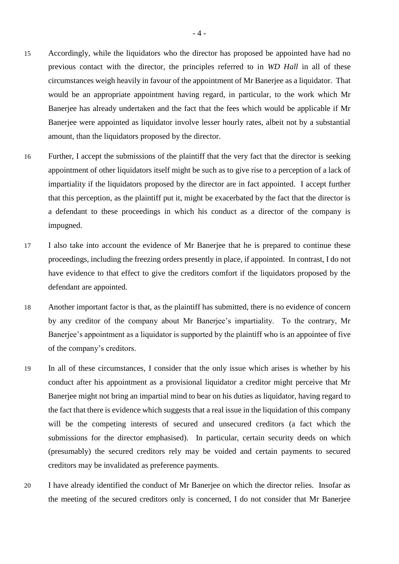- 15 Accordingly, while the liquidators who the director has proposed be appointed have had no previous contact with the director, the principles referred to in *WD Hall* in all of these circumstances weigh heavily in favour of the appointment of Mr Banerjee as a liquidator. That would be an appropriate appointment having regard, in particular, to the work which Mr Banerjee has already undertaken and the fact that the fees which would be applicable if Mr Banerjee were appointed as liquidator involve lesser hourly rates, albeit not by a substantial amount, than the liquidators proposed by the director.
- 16 Further, I accept the submissions of the plaintiff that the very fact that the director is seeking appointment of other liquidators itself might be such as to give rise to a perception of a lack of impartiality if the liquidators proposed by the director are in fact appointed. I accept further that this perception, as the plaintiff put it, might be exacerbated by the fact that the director is a defendant to these proceedings in which his conduct as a director of the company is impugned.
- 17 I also take into account the evidence of Mr Banerjee that he is prepared to continue these proceedings, including the freezing orders presently in place, if appointed. In contrast, I do not have evidence to that effect to give the creditors comfort if the liquidators proposed by the defendant are appointed.
- 18 Another important factor is that, as the plaintiff has submitted, there is no evidence of concern by any creditor of the company about Mr Banerjee's impartiality. To the contrary, Mr Banerjee's appointment as a liquidator is supported by the plaintiff who is an appointee of five of the company's creditors.
- 19 In all of these circumstances, I consider that the only issue which arises is whether by his conduct after his appointment as a provisional liquidator a creditor might perceive that Mr Banerjee might not bring an impartial mind to bear on his duties as liquidator, having regard to the fact that there is evidence which suggests that a real issue in the liquidation of this company will be the competing interests of secured and unsecured creditors (a fact which the submissions for the director emphasised). In particular, certain security deeds on which (presumably) the secured creditors rely may be voided and certain payments to secured creditors may be invalidated as preference payments.
- 20 I have already identified the conduct of Mr Banerjee on which the director relies. Insofar as the meeting of the secured creditors only is concerned, I do not consider that Mr Banerjee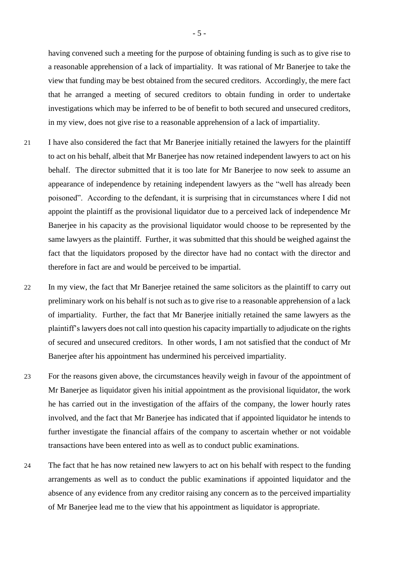having convened such a meeting for the purpose of obtaining funding is such as to give rise to a reasonable apprehension of a lack of impartiality. It was rational of Mr Banerjee to take the view that funding may be best obtained from the secured creditors. Accordingly, the mere fact that he arranged a meeting of secured creditors to obtain funding in order to undertake investigations which may be inferred to be of benefit to both secured and unsecured creditors, in my view, does not give rise to a reasonable apprehension of a lack of impartiality.

- 21 I have also considered the fact that Mr Banerjee initially retained the lawyers for the plaintiff to act on his behalf, albeit that Mr Banerjee has now retained independent lawyers to act on his behalf. The director submitted that it is too late for Mr Banerjee to now seek to assume an appearance of independence by retaining independent lawyers as the "well has already been poisoned". According to the defendant, it is surprising that in circumstances where I did not appoint the plaintiff as the provisional liquidator due to a perceived lack of independence Mr Banerjee in his capacity as the provisional liquidator would choose to be represented by the same lawyers as the plaintiff. Further, it was submitted that this should be weighed against the fact that the liquidators proposed by the director have had no contact with the director and therefore in fact are and would be perceived to be impartial.
- 22 In my view, the fact that Mr Banerjee retained the same solicitors as the plaintiff to carry out preliminary work on his behalf is not such as to give rise to a reasonable apprehension of a lack of impartiality. Further, the fact that Mr Banerjee initially retained the same lawyers as the plaintiff's lawyers does not call into question his capacity impartially to adjudicate on the rights of secured and unsecured creditors. In other words, I am not satisfied that the conduct of Mr Banerjee after his appointment has undermined his perceived impartiality.
- 23 For the reasons given above, the circumstances heavily weigh in favour of the appointment of Mr Banerjee as liquidator given his initial appointment as the provisional liquidator, the work he has carried out in the investigation of the affairs of the company, the lower hourly rates involved, and the fact that Mr Banerjee has indicated that if appointed liquidator he intends to further investigate the financial affairs of the company to ascertain whether or not voidable transactions have been entered into as well as to conduct public examinations.
- 24 The fact that he has now retained new lawyers to act on his behalf with respect to the funding arrangements as well as to conduct the public examinations if appointed liquidator and the absence of any evidence from any creditor raising any concern as to the perceived impartiality of Mr Banerjee lead me to the view that his appointment as liquidator is appropriate.